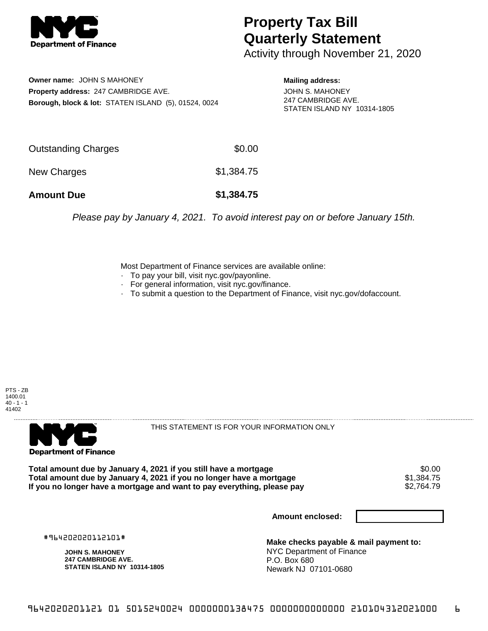

## **Property Tax Bill Quarterly Statement**

Activity through November 21, 2020

**Owner name:** JOHN S MAHONEY **Property address:** 247 CAMBRIDGE AVE. **Borough, block & lot:** STATEN ISLAND (5), 01524, 0024 **Mailing address:**

JOHN S. MAHONEY 247 CAMBRIDGE AVE. STATEN ISLAND NY 10314-1805

| <b>Amount Due</b>   | \$1,384.75 |
|---------------------|------------|
| New Charges         | \$1,384.75 |
| Outstanding Charges | \$0.00     |

Please pay by January 4, 2021. To avoid interest pay on or before January 15th.

Most Department of Finance services are available online:

- · To pay your bill, visit nyc.gov/payonline.
- For general information, visit nyc.gov/finance.
- · To submit a question to the Department of Finance, visit nyc.gov/dofaccount.

PTS - ZB 1400.01  $40 - 1 - 1$ 41402



THIS STATEMENT IS FOR YOUR INFORMATION ONLY

Total amount due by January 4, 2021 if you still have a mortgage \$0.00<br>Total amount due by January 4, 2021 if you no longer have a mortgage \$1.384.75 **Total amount due by January 4, 2021 if you no longer have a mortgage \$1,384.75<br>If you no longer have a mortgage and want to pay everything, please pay \$2,764.79** If you no longer have a mortgage and want to pay everything, please pay

**Amount enclosed:**

#964202020112101#

**JOHN S. MAHONEY 247 CAMBRIDGE AVE. STATEN ISLAND NY 10314-1805**

**Make checks payable & mail payment to:** NYC Department of Finance P.O. Box 680 Newark NJ 07101-0680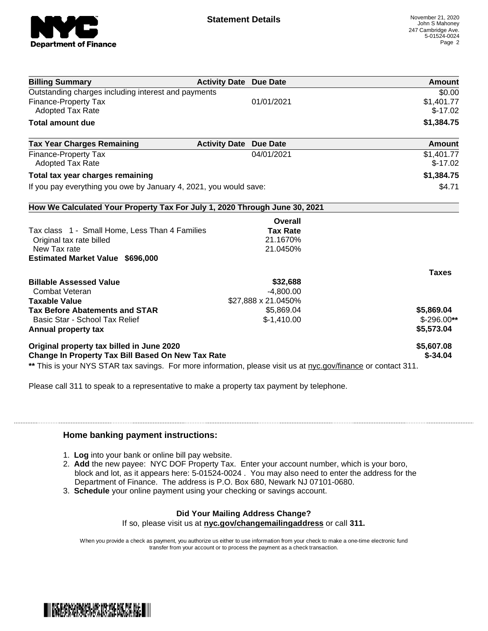

| <b>Billing Summary</b>                                                     | <b>Activity Date Due Date</b> | Amount       |
|----------------------------------------------------------------------------|-------------------------------|--------------|
| Outstanding charges including interest and payments                        |                               | \$0.00       |
| <b>Finance-Property Tax</b>                                                | 01/01/2021                    | \$1,401.77   |
| <b>Adopted Tax Rate</b>                                                    |                               | $$-17.02$    |
| <b>Total amount due</b>                                                    |                               | \$1,384.75   |
| <b>Tax Year Charges Remaining</b>                                          | <b>Activity Date Due Date</b> | Amount       |
| <b>Finance-Property Tax</b>                                                | 04/01/2021                    | \$1,401.77   |
| <b>Adopted Tax Rate</b>                                                    |                               | $$-17.02$    |
| Total tax year charges remaining                                           |                               | \$1,384.75   |
| If you pay everything you owe by January 4, 2021, you would save:          |                               | \$4.71       |
| How We Calculated Your Property Tax For July 1, 2020 Through June 30, 2021 |                               |              |
|                                                                            | Overall                       |              |
| Tax class 1 - Small Home, Less Than 4 Families                             | <b>Tax Rate</b>               |              |
| Original tax rate billed                                                   | 21.1670%                      |              |
| New Tax rate                                                               | 21.0450%                      |              |
| <b>Estimated Market Value \$696,000</b>                                    |                               |              |
|                                                                            |                               | <b>Taxes</b> |
| <b>Billable Assessed Value</b>                                             | \$32,688                      |              |
| Combat Veteran                                                             | $-4,800.00$                   |              |
| <b>Taxable Value</b>                                                       | \$27,888 x 21.0450%           |              |
| <b>Tax Before Abatements and STAR</b>                                      | \$5,869.04                    | \$5,869.04   |
| Basic Star - School Tax Relief                                             | $$-1,410.00$                  | $$-296.00**$ |
|                                                                            |                               | \$5,573.04   |
| Annual property tax                                                        |                               |              |
| Original property tax billed in June 2020                                  |                               | \$5,607.08   |

Please call 311 to speak to a representative to make a property tax payment by telephone.

## **Home banking payment instructions:**

- 1. **Log** into your bank or online bill pay website.
- 2. **Add** the new payee: NYC DOF Property Tax. Enter your account number, which is your boro, block and lot, as it appears here: 5-01524-0024 . You may also need to enter the address for the Department of Finance. The address is P.O. Box 680, Newark NJ 07101-0680.
- 3. **Schedule** your online payment using your checking or savings account.

## **Did Your Mailing Address Change?**

If so, please visit us at **nyc.gov/changemailingaddress** or call **311.**

When you provide a check as payment, you authorize us either to use information from your check to make a one-time electronic fund transfer from your account or to process the payment as a check transaction.